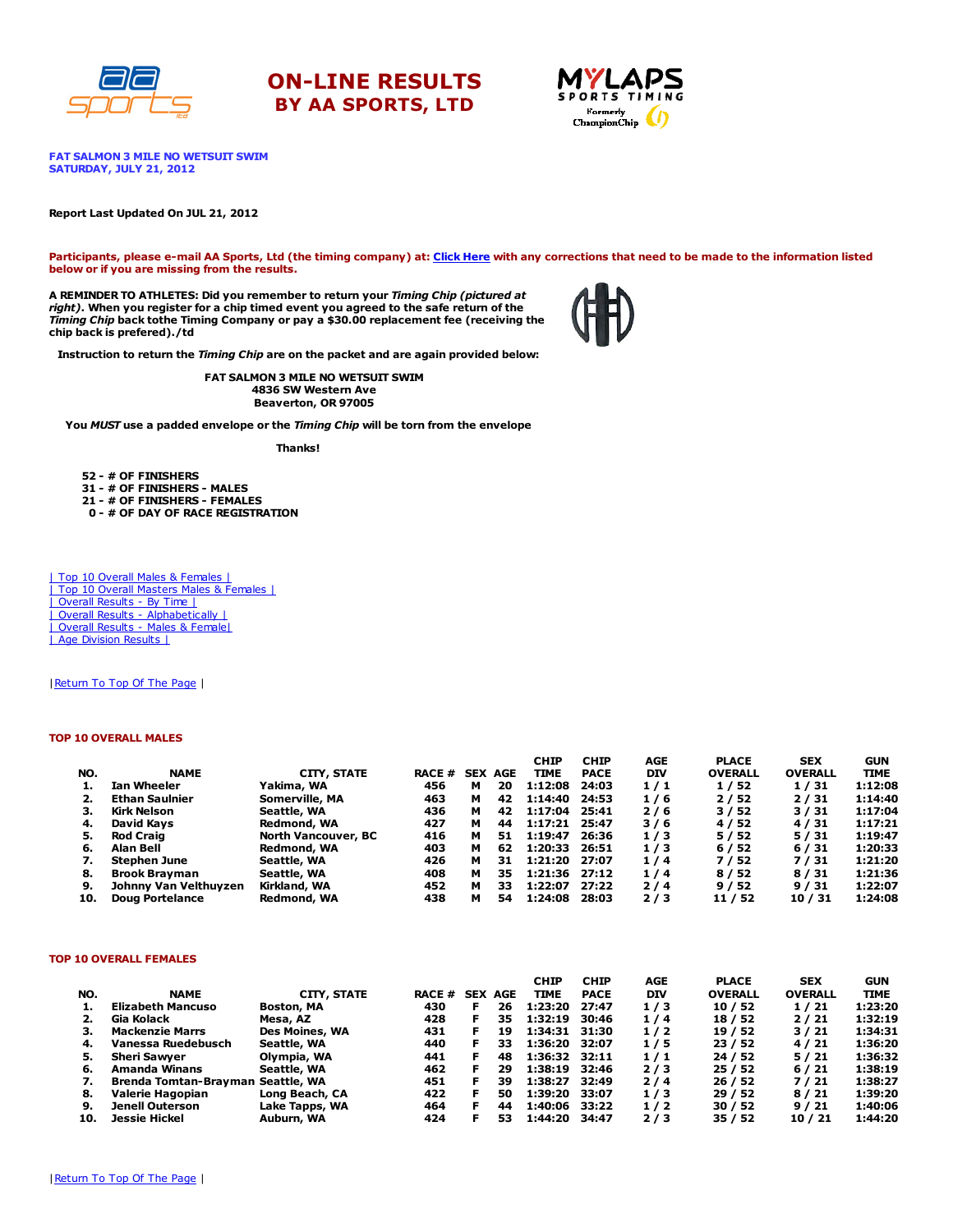





FAT SALMON 3 MILE NO WETSUIT SWIM SATURDAY, JULY 21, 2012

### Report Last Updated On JUL 21, 2012

Participants, please e-mail AA Sports, Ltd (the timing company) at: [Click](http://www.racecenter.com/aa-sports-results-inquiry/) Here with any corrections that need to be made to the information listed below or if you are missing from the results.

A REMINDER TO ATHLETES: Did you remember to return your Timing Chip (pictured at right). When you register for a chip timed event you agreed to the safe return of the Timing Chip back tothe Timing Company or pay a \$30.00 replacement fee (receiving the chip back is prefered)./td



Instruction to return the Timing Chip are on the packet and are again provided below:

FAT SALMON 3 MILE NO WETSUIT SWIM 4836 SW Western Ave Beaverton, OR 97005

You MUST use a padded envelope or the Timing Chip will be torn from the envelope

Thanks!

52 - # OF FINISHERS 31 - # OF FINISHERS - MALES 21 - # OF FINISHERS - FEMALES

0 - # OF DAY OF RACE REGISTRATION

| Top 10 Overall Males & Females | | Top 10 Overall Masters Males & Females | | Overall Results - By Time | | Overall Results - [Alphabetically](http://www.racecenter.com/results/2012/res_s3al12.htm) | | Overall Results - Males & [Female|](http://www.racecenter.com/results/2012/res_s3og12.htm) | Age [Division](http://www.racecenter.com/results/2012/res_s3ag12.htm) Results |

| Return To Top Of The Page |

### TOP 10 OVERALL MALES

|     |                        |                            |               |   |                | <b>CHIP</b>   | <b>CHIP</b> | AGE        | <b>PLACE</b>   | <b>SEX</b>     | <b>GUN</b>  |
|-----|------------------------|----------------------------|---------------|---|----------------|---------------|-------------|------------|----------------|----------------|-------------|
| NO. | <b>NAME</b>            | CITY, STATE                | <b>RACE #</b> |   | <b>SEX AGE</b> | TIME          | <b>PACE</b> | <b>DIV</b> | <b>OVERALL</b> | <b>OVERALL</b> | <b>TIME</b> |
|     | Ian Wheeler            | Yakima, WA                 | 456           | м | 20             | 1:12:08       | 24:03       | 1/1        | 1/52           | 1/31           | 1:12:08     |
|     | <b>Ethan Saulnier</b>  | Somerville, MA             | 463           | м | 42             | 1:14:40       | 24:53       | 1/6        | 2/52           | 2/31           | 1:14:40     |
| з.  | Kirk Nelson            | Seattle, WA                | 436           | м | 42             | 1:17:04       | 25:41       | 2/6        | 3/52           | 3/31           | 1:17:04     |
| 4.  | David Kavs             | Redmond, WA                | 427           | м | 44             | 1:17:21 25:47 |             | 3/6        | 4/52           | 4/31           | 1:17:21     |
| 5.  | <b>Rod Craig</b>       | <b>North Vancouver, BC</b> | 416           | м | 51             | 1:19:47       | 26:36       | 1/3        | 5/52           | 5/31           | 1:19:47     |
| 6.  | Alan Bell              | Redmond, WA                | 403           | м | 62             | 1:20:33       | 26:51       | 1/3        | 6/52           | 6/31           | 1:20:33     |
| 7.  | <b>Stephen June</b>    | Seattle, WA                | 426           | м | 31             | 1:21:20 27:07 |             | 1/4        | 7/52           | 7/31           | 1:21:20     |
| 8.  | <b>Brook Brayman</b>   | Seattle, WA                | 408           | м | 35             | 1:21:36 27:12 |             | 1/4        | 8/52           | 8/31           | 1:21:36     |
| 9.  | Johnny Van Velthuyzen  | Kirkland, WA               | 452           | м | 33             | 1:22:07       | 27:22       | 2/4        | 9/52           | 9/31           | 1:22:07     |
| 10. | <b>Doug Portelance</b> | Redmond, WA                | 438           | м | 54             | 1:24:08       | 28:03       | 2/3        | 11 / 52        | 10 / 31        | 1:24:08     |

## TOP 10 OVERALL FEMALES

|     |                                   |                       |               |                |    | <b>CHIP</b>   | <b>CHIP</b> | AGE        | <b>PLACE</b>   | <b>SEX</b>     | <b>GUN</b>  |
|-----|-----------------------------------|-----------------------|---------------|----------------|----|---------------|-------------|------------|----------------|----------------|-------------|
| NO. | <b>NAME</b>                       | CITY, STATE           | <b>RACE #</b> | <b>SEX AGE</b> |    | <b>TIME</b>   | <b>PACE</b> | <b>DIV</b> | <b>OVERALL</b> | <b>OVERALL</b> | <b>TIME</b> |
| 1.  | <b>Elizabeth Mancuso</b>          | <b>Boston, MA</b>     | 430           | F.             | 26 | 1:23:20       | 27:47       | 1/3        | 10/52          | 1/21           | 1:23:20     |
| 2.  | Gia Kolack                        | Mesa, AZ              | 428           | F.             | 35 | 1:32:19       | 30:46       | 1/4        | 18 / 52        | 2/21           | 1:32:19     |
| З.  | <b>Mackenzie Marrs</b>            | <b>Des Moines, WA</b> | 431           | F.             | 19 | 1:34:31 31:30 |             | 1/2        | 19 / 52        | 3/21           | 1:34:31     |
| 4.  | Vanessa Ruedebusch                | Seattle, WA           | 440           | F.             | 33 | 1:36:20 32:07 |             | 1/5        | 23/52          | 4/21           | 1:36:20     |
| 5.  | <b>Sheri Sawver</b>               | Olympia, WA           | 441           | F.             | 48 | 1:36:32 32:11 |             | 1/1        | 24 / 52        | 5/21           | 1:36:32     |
| 6.  | Amanda Winans                     | Seattle, WA           | 462           | F.             | 29 | 1:38:19       | 32:46       | 2/3        | 25/52          | 6/21           | 1:38:19     |
| 7.  | Brenda Tomtan-Brayman Seattle, WA |                       | 451           | F.             | 39 | 1:38:27       | 32:49       | 2/4        | 26/52          | 7/21           | 1:38:27     |
| 8.  | Valerie Hagopian                  | Long Beach, CA        | 422           | F.             | 50 | 1:39:20       | 33:07       | 1/3        | 29/52          | 8/21           | 1:39:20     |
| 9.  | <b>Jenell Outerson</b>            | Lake Tapps, WA        | 464           | F.             | 44 | 1:40:06       | 33:22       | 1/2        | 30/52          | 9/21           | 1:40:06     |
| 10. | <b>Jessie Hickel</b>              | Auburn, WA            | 424           |                | 53 | 1:44:20       | 34:47       | 2/3        | 35/52          | 10/21          | 1:44:20     |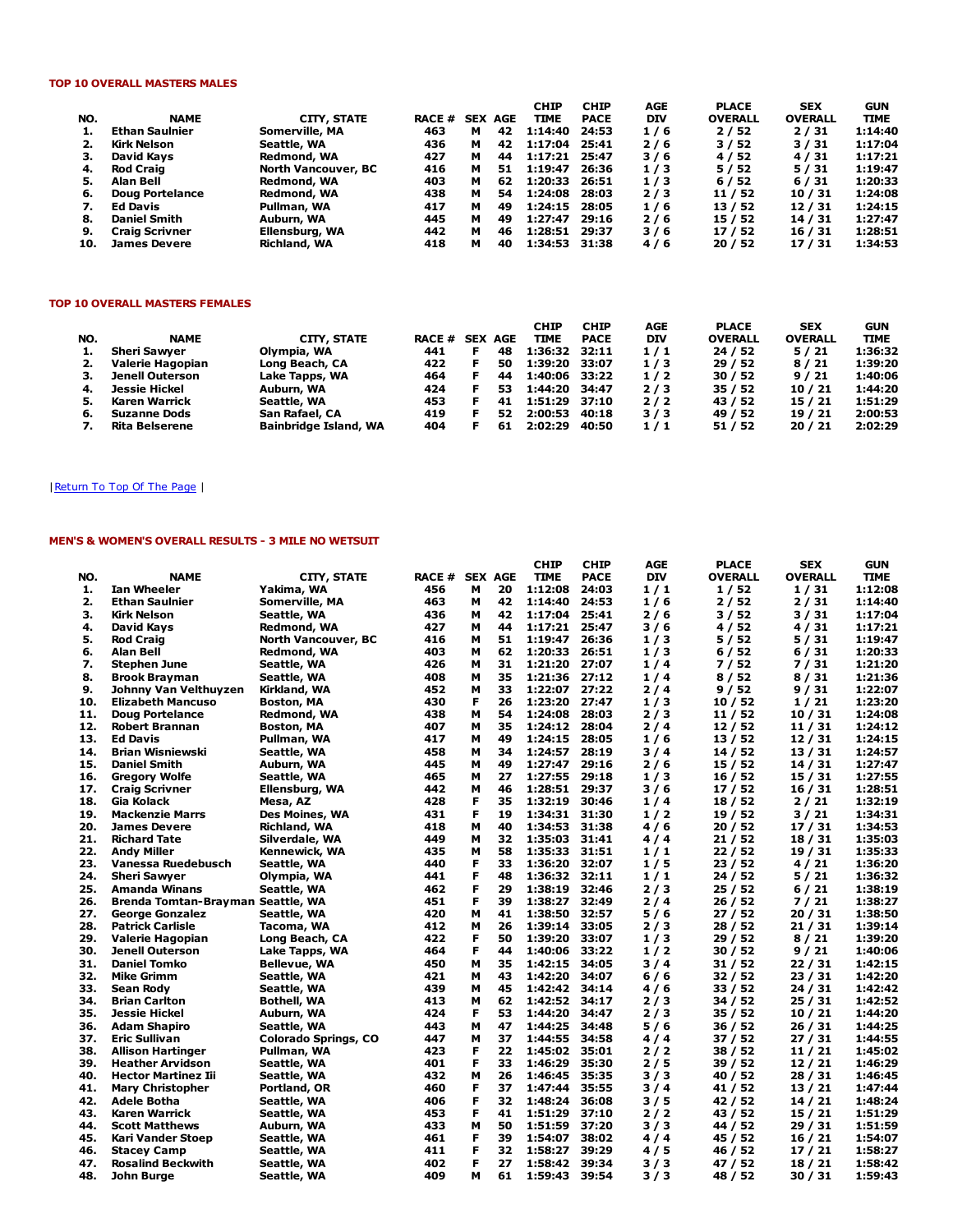# TOP 10 OVERALL MASTERS MALES

|     |                        |                            |        |   |                | <b>CHIP</b> | <b>CHIP</b> | AGE        | <b>PLACE</b>   | <b>SEX</b>     | <b>GUN</b>  |
|-----|------------------------|----------------------------|--------|---|----------------|-------------|-------------|------------|----------------|----------------|-------------|
| NO. | <b>NAME</b>            | CITY, STATE                | RACE # |   | <b>SEX AGE</b> | <b>TIME</b> | <b>PACE</b> | <b>DIV</b> | <b>OVERALL</b> | <b>OVERALL</b> | <b>TIME</b> |
| 1.  | Ethan Saulnier         | Somerville, MA             | 463    | м | 42             | 1:14:40     | 24:53       | 1/6        | 2/52           | 2/31           | 1:14:40     |
|     | Kirk Nelson            | Seattle, WA                | 436    | м | 42             | 1:17:04     | 25:41       | 2/6        | 3/52           | 3/31           | 1:17:04     |
| з.  | David Kavs             | Redmond, WA                | 427    | м | 44             | 1:17:21     | 25:47       | 3/6        | 4/52           | 4/31           | 1:17:21     |
| 4.  | Rod Craig              | <b>North Vancouver, BC</b> | 416    | м | 51             | 1:19:47     | 26:36       | 1/3        | 5/52           | 5/31           | 1:19:47     |
| 5.  | Alan Bell              | Redmond, WA                | 403    | м | 62             | 1:20:33     | 26:51       | 1/3        | 6/52           | 6/31           | 1:20:33     |
| 6.  | <b>Doug Portelance</b> | Redmond, WA                | 438    | м | 54             | 1:24:08     | 28:03       | 2/3        | 11 / 52        | 10/31          | 1:24:08     |
| 7.  | Ed Davis               | Pullman, WA                | 417    | м | 49             | 1:24:15     | 28:05       | 1/6        | 13 / 52        | 12/31          | 1:24:15     |
| 8.  | <b>Daniel Smith</b>    | Auburn, WA                 | 445    | м | 49             | 1:27:47     | 29:16       | 2/6        | 15/52          | 14 / 31        | 1:27:47     |
| 9.  | <b>Craig Scrivner</b>  | Ellensburg, WA             | 442    | м | 46             | 1:28:51     | 29:37       | 3/6        | 17/52          | 16 / 31        | 1:28:51     |
| 10. | <b>James Devere</b>    | <b>Richland, WA</b>        | 418    | м | 40             | 1:34:53     | 31:38       | 4/6        | 20/52          | 17/31          | 1:34:53     |

### TOP 10 OVERALL MASTERS FEMALES

|     |                        |                       |               |            |            | СНІР          | <b>CHIP</b> | AGE        | <b>PLACE</b>   | <b>SEX</b>     | <b>GUN</b>  |
|-----|------------------------|-----------------------|---------------|------------|------------|---------------|-------------|------------|----------------|----------------|-------------|
| NO. | <b>NAME</b>            | CITY, STATE           | <b>RACE #</b> | <b>SEX</b> | <b>AGE</b> | <b>TIME</b>   | <b>PACE</b> | <b>DIV</b> | <b>OVERALL</b> | <b>OVERALL</b> | <b>TIME</b> |
| 1.  | <b>Sheri Sawver</b>    | Olympia, WA           | 441           |            | 48         | 1:36:32 32:11 |             | 1/1        | 24/52          | 5/21           | 1:36:32     |
| 2.  | Valerie Hagopian       | Long Beach, CA        | 422           |            | 50         | 1:39:20       | 33:07       | 1/3        | 29/52          | 8/21           | 1:39:20     |
| з.  | <b>Jenell Outerson</b> | Lake Tapps, WA        | 464           |            | 44         | 1:40:06 33:22 |             | 1/2        | 30/52          | 9/21           | 1:40:06     |
| 4.  | Jessie Hickel          | Auburn, WA            | 424           |            | 53         | 1:44:20       | 34:47       | 2/3        | 35/52          | 10/21          | 1:44:20     |
| 5.  | <b>Karen Warrick</b>   | Seattle, WA           | 453           |            | 41         | 1:51:29 37:10 |             | 2/2        | 43 / 52        | 15 / 21        | 1:51:29     |
| 6.  | <b>Suzanne Dods</b>    | San Rafael, CA        | 419           |            | 52         | 2:00:53       | 40:18       | 3/3        | 49 / 52        | 19 / 21        | 2:00:53     |
| 7.  | <b>Rita Belserene</b>  | Bainbridge Island, WA | 404           |            | 61         | 2:02:29       | 40:50       | 1/1        | 51 / 52        | 20/21          | 2:02:29     |

# | Return To Top Of The Page |

# MEN'S & WOMEN'S OVERALL RESULTS - 3 MILE NO WETSUIT

|     |                                   |                             |               |                |          | <b>CHIP</b>   | <b>CHIP</b> | AGE        | <b>PLACE</b>   | <b>SEX</b>     | <b>GUN</b>  |
|-----|-----------------------------------|-----------------------------|---------------|----------------|----------|---------------|-------------|------------|----------------|----------------|-------------|
| NO. | <b>NAME</b>                       | <b>CITY, STATE</b>          | <b>RACE #</b> | <b>SEX AGE</b> |          | <b>TIME</b>   | <b>PACE</b> | <b>DIV</b> | <b>OVERALL</b> | <b>OVERALL</b> | <b>TIME</b> |
| 1.  | <b>Ian Wheeler</b>                | Yakima, WA                  | 456           | М              | 20       | 1:12:08       | 24:03       | 1/1        | 1/52           | 1/31           | 1:12:08     |
| 2.  | <b>Ethan Saulnier</b>             | Somerville, MA              | 463           | м              | 42       | 1:14:40       | 24:53       | 1/6        | 2 / 52         | 2 / 31         | 1:14:40     |
| 3.  | <b>Kirk Nelson</b>                | Seattle, WA                 | 436           | м              | 42       | 1:17:04 25:41 |             | 2/6        | 3 / 52         | 3 / 31         | 1:17:04     |
| 4.  | David Kays                        | Redmond, WA                 | 427           | М              | 44       | 1:17:21       | 25:47       | 3/6        | 4 / 52         | 4 / 31         | 1:17:21     |
| 5.  | <b>Rod Craig</b>                  | <b>North Vancouver, BC</b>  | 416           | М              | 51       | 1:19:47       | 26:36       | 1/3        | 5 / 52         | 5/31           | 1:19:47     |
| 6.  | Alan Bell                         | Redmond, WA                 | 403           | M              | 62       | 1:20:33       | 26:51       | 1/3        | 6/52           | 6/31           | 1:20:33     |
| 7.  | <b>Stephen June</b>               | Seattle, WA                 | 426           | м              | 31<br>35 | 1:21:20       | 27:07       | 1/4        | 7 / 52         | 7/31           | 1:21:20     |
| 8.  | <b>Brook Brayman</b>              | Seattle, WA                 | 408           | м              |          | 1:21:36       | 27:12       | 1/4        | 8/52           | 8/31           | 1:21:36     |
| 9.  | Johnny Van Velthuyzen             | Kirkland, WA                | 452           | м              | 33       | 1:22:07       | 27:22       | 2/4        | 9 / 52         | 9/31           | 1:22:07     |
| 10. | <b>Elizabeth Mancuso</b>          | <b>Boston, MA</b>           | 430           | F              | 26       | 1:23:20       | 27:47       | 1/3        | 10/52          | 1/21           | 1:23:20     |
| 11. | <b>Doug Portelance</b>            | Redmond, WA                 | 438           | м              | 54       | 1:24:08       | 28:03       | 2/3        | 11/52          | 10/31          | 1:24:08     |
| 12. | <b>Robert Brannan</b>             | <b>Boston, MA</b>           | 407           | M              | 35       | 1:24:12       | 28:04       | 2/4        | 12/52          | 11/31          | 1:24:12     |
| 13. | <b>Ed Davis</b>                   | Pullman, WA                 | 417           | M              | 49       | 1:24:15       | 28:05       | 1/6        | 13 / 52        | 12/31          | 1:24:15     |
| 14. | <b>Brian Wisniewski</b>           | Seattle, WA                 | 458           | м              | 34       | 1:24:57       | 28:19       | 3/4        | 14/52          | 13/31          | 1:24:57     |
| 15. | <b>Daniel Smith</b>               | Auburn, WA                  | 445           | м              | 49       | 1:27:47       | 29:16       | 2/6        | 15 / 52        | 14 / 31        | 1:27:47     |
| 16. | <b>Gregory Wolfe</b>              | Seattle, WA                 | 465           | М              | 27       | 1:27:55       | 29:18       | 1/3        | 16/52          | 15 / 31        | 1:27:55     |
| 17. | <b>Craig Scrivner</b>             | Ellensburg, WA              | 442           | м              | 46       | 1:28:51       | 29:37       | 3/6        | 17/52          | 16/31          | 1:28:51     |
| 18. | Gia Kolack                        | Mesa, AZ                    | 428           | F              | 35       | 1:32:19       | 30:46       | 1/4        | 18 / 52        | 2/21           | 1:32:19     |
| 19. | <b>Mackenzie Marrs</b>            | Des Moines, WA              | 431           | F              | 19       | 1:34:31       | 31:30       | 1/2        | 19 / 52        | 3/21           | 1:34:31     |
| 20. | <b>James Devere</b>               | <b>Richland, WA</b>         | 418           | M              | 40       | 1:34:53       | 31:38       | 4/6        | 20/52          | 17/31          | 1:34:53     |
| 21. | <b>Richard Tate</b>               | Silverdale, WA              | 449           | M              | 32       | 1:35:03       | 31:41       | 4 / 4      | 21 / 52        | 18 / 31        | 1:35:03     |
| 22. | <b>Andy Miller</b>                | Kennewick, WA               | 435           | М              | 58       | 1:35:33       | 31:51       | 1/1        | 22/52          | 19 / 31        | 1:35:33     |
| 23. | Vanessa Ruedebusch                | Seattle, WA                 | 440           | F              | 33       | 1:36:20       | 32:07       | 1/5        | 23 / 52        | 4/21           | 1:36:20     |
| 24. | <b>Sheri Sawyer</b>               | Olympia, WA                 | 441           | F              | 48       | 1:36:32       | 32:11       | 1/1        | 24 / 52        | 5 / 21         | 1:36:32     |
| 25. | <b>Amanda Winans</b>              | Seattle, WA                 | 462           | F              | 29       | 1:38:19       | 32:46       | 2/3        | 25/52          | 6/21           | 1:38:19     |
| 26. | Brenda Tomtan-Brayman Seattle, WA |                             | 451           | F              | 39       | 1:38:27       | 32:49       | 2/4        | 26 / 52        | 7 / 21         | 1:38:27     |
| 27. | <b>George Gonzalez</b>            | Seattle, WA                 | 420           | м              | 41       | 1:38:50       | 32:57       | 5/6        | 27/52          | 20 / 31        | 1:38:50     |
| 28. | <b>Patrick Carlisle</b>           | Tacoma, WA                  | 412           | м              | 26       | 1:39:14       | 33:05       | 2/3        | 28 / 52        | 21/31          | 1:39:14     |
| 29. | Valerie Hagopian                  | Long Beach, CA              | 422           | F              | 50       | 1:39:20       | 33:07       | 1/3        | 29/52          | 8/21           | 1:39:20     |
| 30. | <b>Jenell Outerson</b>            | Lake Tapps, WA              | 464           | F              | 44       | 1:40:06       | 33:22       | 1/2        | 30/52          | 9/21           | 1:40:06     |
| 31. | <b>Daniel Tomko</b>               | <b>Bellevue, WA</b>         | 450           | М              | 35       | 1:42:15       | 34:05       | 3/4        | 31 / 52        | 22/31          | 1:42:15     |
| 32. | <b>Mike Grimm</b>                 | Seattle, WA                 | 421           | м              | 43       | 1:42:20       | 34:07       | 6/6        | 32 / 52        | 23 / 31        | 1:42:20     |
| 33. | Sean Rody                         | Seattle, WA                 | 439           | м              | 45       | 1:42:42       | 34:14       | 4/6        | 33 / 52        | 24 / 31        | 1:42:42     |
| 34. | <b>Brian Carlton</b>              | Bothell, WA                 | 413           | м              | 62       | 1:42:52       | 34:17       | 2/3        | 34 / 52        | 25/31          | 1:42:52     |
| 35. | <b>Jessie Hickel</b>              | Auburn, WA                  | 424           | F              | 53       | 1:44:20       | 34:47       | 2/3        | 35 / 52        | 10/21          | 1:44:20     |
| 36. | <b>Adam Shapiro</b>               | Seattle, WA                 | 443           | M              | 47       | 1:44:25       | 34:48       | 5/6        | 36 / 52        | 26/31          | 1:44:25     |
| 37. | <b>Eric Sullivan</b>              | <b>Colorado Springs, CO</b> | 447           | м              | 37       | 1:44:55       | 34:58       | 4/4        | 37 / 52        | 27/31          | 1:44:55     |
| 38. | <b>Allison Hartinger</b>          | Pullman, WA                 | 423           | F              | 22       | 1:45:02       | 35:01       | 2/2        | 38 / 52        | 11/21          | 1:45:02     |
| 39. | <b>Heather Arvidson</b>           | Seattle, WA                 | 401           | F              | 33       | 1:46:29       | 35:30       | 2/5        | 39 / 52        | 12/21          | 1:46:29     |
| 40. | <b>Hector Martinez Iii</b>        | Seattle, WA                 | 432           | M              | 26       | 1:46:45       | 35:35       | 3/3        | 40 / 52        | 28 / 31        | 1:46:45     |
| 41. | <b>Mary Christopher</b>           | Portland, OR                | 460           | F              | 37       | 1:47:44       | 35:55       | 3/4        | 41 / 52        | 13 / 21        | 1:47:44     |
| 42. | Adele Botha                       | Seattle, WA                 | 406           | F              | 32       | 1:48:24       | 36:08       | 3/5        | 42 / 52        | 14 / 21        | 1:48:24     |
| 43. | Karen Warrick                     | Seattle, WA                 | 453           | F              | 41       | 1:51:29       | 37:10       | 2/2        | 43 / 52        | 15 / 21        | 1:51:29     |
| 44. | <b>Scott Matthews</b>             | Auburn, WA                  | 433           | М              | 50       | 1:51:59       | 37:20       | 3/3        | 44 / 52        | 29 / 31        | 1:51:59     |
| 45. | Kari Vander Stoep                 | Seattle, WA                 | 461           | F              | 39       | 1:54:07       | 38:02       | 4/4        | 45 / 52        | 16/21          | 1:54:07     |
| 46. | <b>Stacey Camp</b>                | Seattle, WA                 | 411           | F              | 32       | 1:58:27       | 39:29       | 4/5        | 46 / 52        | 17/21          | 1:58:27     |
| 47. | <b>Rosalind Beckwith</b>          | Seattle, WA                 | 402           | F              | 27       | 1:58:42       | 39:34       | 3/3        | 47 / 52        | 18/21          | 1:58:42     |
| 48. | John Burge                        | Seattle, WA                 | 409           | м              | 61       | 1:59:43       | 39:54       | 3/3        | 48 / 52        | 30 / 31        | 1:59:43     |